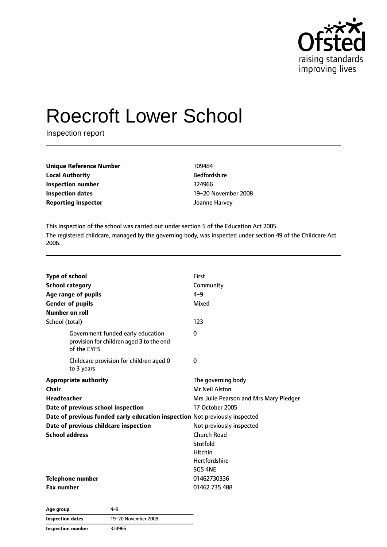

# Roecroft Lower School

Inspection report

| <b>Unique Reference Number</b> | 109484              |  |
|--------------------------------|---------------------|--|
| <b>Local Authority</b>         | <b>Bedfordshire</b> |  |
| Inspection number              | 324966              |  |
| <b>Inspection dates</b>        | 19–20 Novemb        |  |
| <b>Reporting inspector</b>     | Joanne Harvey       |  |

**Bedfordshire Inspection dates** 19–20 November 2008

This inspection of the school was carried out under section 5 of the Education Act 2005. The registered childcare, managed by the governing body, was inspected under section 49 of the Childcare Act 2006.

| <b>Type of school</b>                                                                        | <b>First</b>                           |
|----------------------------------------------------------------------------------------------|----------------------------------------|
| <b>School category</b>                                                                       |                                        |
|                                                                                              | Community                              |
| Age range of pupils                                                                          | $4 - 9$                                |
| <b>Gender of pupils</b>                                                                      | Mixed                                  |
| Number on roll                                                                               |                                        |
| School (total)                                                                               | 123                                    |
| Government funded early education<br>provision for children aged 3 to the end<br>of the EYFS | $\Omega$                               |
| Childcare provision for children aged 0<br>to 3 years                                        | 0                                      |
| <b>Appropriate authority</b>                                                                 | The governing body                     |
| Chair                                                                                        | <b>Mr Neil Alston</b>                  |
| <b>Headteacher</b>                                                                           | Mrs Julie Pearson and Mrs Mary Pledger |
| Date of previous school inspection                                                           | 17 October 2005                        |
| Date of previous funded early education inspection Not previously inspected                  |                                        |
| Date of previous childcare inspection                                                        | Not previously inspected               |
| <b>School address</b>                                                                        | Church Road                            |
|                                                                                              | Stotfold                               |
|                                                                                              | <b>Hitchin</b>                         |
|                                                                                              | <b>Hertfordshire</b>                   |
|                                                                                              | SG5 4NE                                |
| <b>Telephone number</b>                                                                      | 01462730336                            |
| <b>Fax number</b>                                                                            | 01462 735 488                          |

**Age group** 4–9 **Inspection dates** 19–20 November 2008 **Inspection number** 324966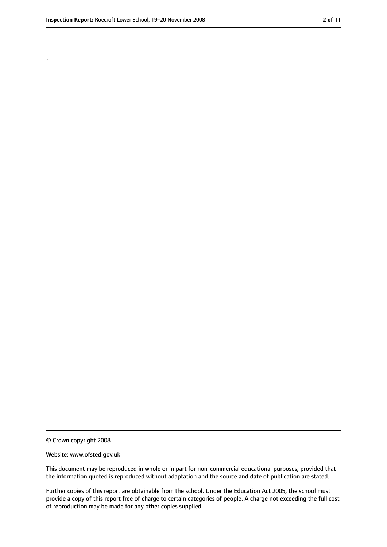.

<sup>©</sup> Crown copyright 2008

Website: www.ofsted.gov.uk

This document may be reproduced in whole or in part for non-commercial educational purposes, provided that the information quoted is reproduced without adaptation and the source and date of publication are stated.

Further copies of this report are obtainable from the school. Under the Education Act 2005, the school must provide a copy of this report free of charge to certain categories of people. A charge not exceeding the full cost of reproduction may be made for any other copies supplied.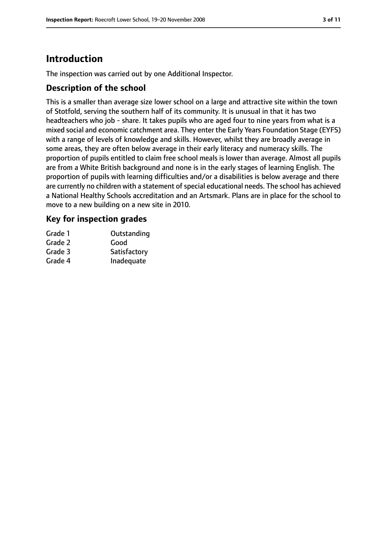# **Introduction**

The inspection was carried out by one Additional Inspector.

## **Description of the school**

This is a smaller than average size lower school on a large and attractive site within the town of Stotfold, serving the southern half of its community. It is unusual in that it has two headteachers who job - share. It takes pupils who are aged four to nine years from what is a mixed social and economic catchment area. They enter the Early Years Foundation Stage (EYFS) with a range of levels of knowledge and skills. However, whilst they are broadly average in some areas, they are often below average in their early literacy and numeracy skills. The proportion of pupils entitled to claim free school meals is lower than average. Almost all pupils are from a White British background and none is in the early stages of learning English. The proportion of pupils with learning difficulties and/or a disabilities is below average and there are currently no children with a statement of special educational needs. The school has achieved a National Healthy Schools accreditation and an Artsmark. Plans are in place for the school to move to a new building on a new site in 2010.

## **Key for inspection grades**

| Grade 1 | Outstanding  |
|---------|--------------|
| Grade 2 | Good         |
| Grade 3 | Satisfactory |
| Grade 4 | Inadequate   |
|         |              |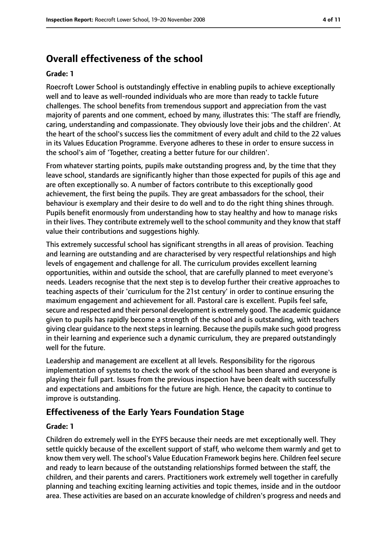# **Overall effectiveness of the school**

#### **Grade: 1**

Roecroft Lower School is outstandingly effective in enabling pupils to achieve exceptionally well and to leave as well-rounded individuals who are more than ready to tackle future challenges. The school benefits from tremendous support and appreciation from the vast majority of parents and one comment, echoed by many, illustrates this: 'The staff are friendly, caring, understanding and compassionate. They obviously love their jobs and the children'. At the heart of the school's success lies the commitment of every adult and child to the 22 values in its Values Education Programme. Everyone adheres to these in order to ensure success in the school's aim of 'Together, creating a better future for our children'.

From whatever starting points, pupils make outstanding progress and, by the time that they leave school, standards are significantly higher than those expected for pupils of this age and are often exceptionally so. A number of factors contribute to this exceptionally good achievement, the first being the pupils. They are great ambassadors for the school, their behaviour is exemplary and their desire to do well and to do the right thing shines through. Pupils benefit enormously from understanding how to stay healthy and how to manage risks in their lives. They contribute extremely well to the school community and they know that staff value their contributions and suggestions highly.

This extremely successful school has significant strengths in all areas of provision. Teaching and learning are outstanding and are characterised by very respectful relationships and high levels of engagement and challenge for all. The curriculum provides excellent learning opportunities, within and outside the school, that are carefully planned to meet everyone's needs. Leaders recognise that the next step is to develop further their creative approaches to teaching aspects of their 'curriculum for the 21st century' in order to continue ensuring the maximum engagement and achievement for all. Pastoral care is excellent. Pupils feel safe, secure and respected and their personal development is extremely good. The academic guidance given to pupils has rapidly become a strength of the school and is outstanding, with teachers giving clear guidance to the next steps in learning. Because the pupils make such good progress in their learning and experience such a dynamic curriculum, they are prepared outstandingly well for the future.

Leadership and management are excellent at all levels. Responsibility for the rigorous implementation of systems to check the work of the school has been shared and everyone is playing their full part. Issues from the previous inspection have been dealt with successfully and expectations and ambitions for the future are high. Hence, the capacity to continue to improve is outstanding.

## **Effectiveness of the Early Years Foundation Stage**

#### **Grade: 1**

Children do extremely well in the EYFS because their needs are met exceptionally well. They settle quickly because of the excellent support of staff, who welcome them warmly and get to know them very well. The school's Value Education Framework begins here. Children feel secure and ready to learn because of the outstanding relationships formed between the staff, the children, and their parents and carers. Practitioners work extremely well together in carefully planning and teaching exciting learning activities and topic themes, inside and in the outdoor area. These activities are based on an accurate knowledge of children's progress and needs and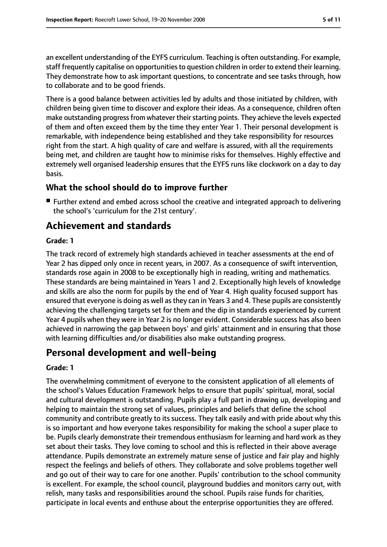an excellent understanding of the EYFS curriculum. Teaching is often outstanding. For example, staff frequently capitalise on opportunities to question children in order to extend their learning. They demonstrate how to ask important questions, to concentrate and see tasks through, how to collaborate and to be good friends.

There is a good balance between activities led by adults and those initiated by children, with children being given time to discover and explore their ideas. As a consequence, children often make outstanding progress from whatever their starting points. They achieve the levels expected of them and often exceed them by the time they enter Year 1. Their personal development is remarkable, with independence being established and they take responsibility for resources right from the start. A high quality of care and welfare is assured, with all the requirements being met, and children are taught how to minimise risks for themselves. Highly effective and extremely well organised leadership ensures that the EYFS runs like clockwork on a day to day basis.

## **What the school should do to improve further**

■ Further extend and embed across school the creative and integrated approach to delivering the school's 'curriculum for the 21st century'.

# **Achievement and standards**

#### **Grade: 1**

The track record of extremely high standards achieved in teacher assessments at the end of Year 2 has dipped only once in recent years, in 2007. As a consequence of swift intervention, standards rose again in 2008 to be exceptionally high in reading, writing and mathematics. These standards are being maintained in Years 1 and 2. Exceptionally high levels of knowledge and skills are also the norm for pupils by the end of Year 4. High quality focused support has ensured that everyone is doing as well as they can in Years 3 and 4. These pupils are consistently achieving the challenging targets set for them and the dip in standards experienced by current Year 4 pupils when they were in Year 2 is no longer evident. Considerable success has also been achieved in narrowing the gap between boys' and girls' attainment and in ensuring that those with learning difficulties and/or disabilities also make outstanding progress.

# **Personal development and well-being**

#### **Grade: 1**

The overwhelming commitment of everyone to the consistent application of all elements of the school's Values Education Framework helps to ensure that pupils' spiritual, moral, social and cultural development is outstanding. Pupils play a full part in drawing up, developing and helping to maintain the strong set of values, principles and beliefs that define the school community and contribute greatly to its success. They talk easily and with pride about why this is so important and how everyone takes responsibility for making the school a super place to be. Pupils clearly demonstrate their tremendous enthusiasm for learning and hard work as they set about their tasks. They love coming to school and this is reflected in their above average attendance. Pupils demonstrate an extremely mature sense of justice and fair play and highly respect the feelings and beliefs of others. They collaborate and solve problems together well and go out of their way to care for one another. Pupils' contribution to the school community is excellent. For example, the school council, playground buddies and monitors carry out, with relish, many tasks and responsibilities around the school. Pupils raise funds for charities, participate in local events and enthuse about the enterprise opportunities they are offered.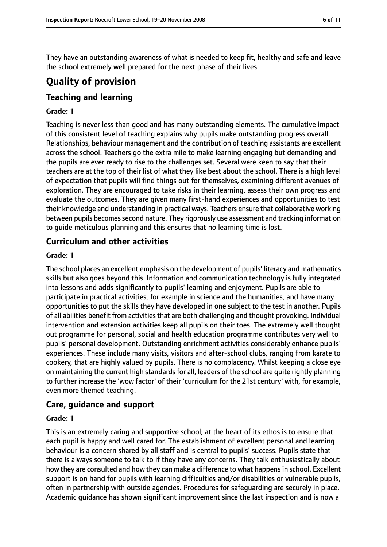They have an outstanding awareness of what is needed to keep fit, healthy and safe and leave the school extremely well prepared for the next phase of their lives.

# **Quality of provision**

# **Teaching and learning**

#### **Grade: 1**

Teaching is never less than good and has many outstanding elements. The cumulative impact of this consistent level of teaching explains why pupils make outstanding progress overall. Relationships, behaviour management and the contribution of teaching assistants are excellent across the school. Teachers go the extra mile to make learning engaging but demanding and the pupils are ever ready to rise to the challenges set. Several were keen to say that their teachers are at the top of their list of what they like best about the school. There is a high level of expectation that pupils will find things out for themselves, examining different avenues of exploration. They are encouraged to take risks in their learning, assess their own progress and evaluate the outcomes. They are given many first-hand experiences and opportunities to test their knowledge and understanding in practical ways. Teachers ensure that collaborative working between pupils becomes second nature. They rigorously use assessment and tracking information to guide meticulous planning and this ensures that no learning time is lost.

## **Curriculum and other activities**

#### **Grade: 1**

The school places an excellent emphasis on the development of pupils' literacy and mathematics skills but also goes beyond this. Information and communication technology is fully integrated into lessons and adds significantly to pupils' learning and enjoyment. Pupils are able to participate in practical activities, for example in science and the humanities, and have many opportunities to put the skills they have developed in one subject to the test in another. Pupils of all abilities benefit from activities that are both challenging and thought provoking. Individual intervention and extension activities keep all pupils on their toes. The extremely well thought out programme for personal, social and health education programme contributes very well to pupils' personal development. Outstanding enrichment activities considerably enhance pupils' experiences. These include many visits, visitors and after-school clubs, ranging from karate to cookery, that are highly valued by pupils. There is no complacency. Whilst keeping a close eye on maintaining the current high standards for all, leaders of the school are quite rightly planning to further increase the 'wow factor' of their 'curriculum for the 21st century' with, for example, even more themed teaching.

#### **Care, guidance and support**

#### **Grade: 1**

This is an extremely caring and supportive school; at the heart of its ethos is to ensure that each pupil is happy and well cared for. The establishment of excellent personal and learning behaviour is a concern shared by all staff and is central to pupils' success. Pupils state that there is always someone to talk to if they have any concerns. They talk enthusiastically about how they are consulted and how they can make a difference to what happens in school. Excellent support is on hand for pupils with learning difficulties and/or disabilities or vulnerable pupils, often in partnership with outside agencies. Procedures for safeguarding are securely in place. Academic guidance has shown significant improvement since the last inspection and is now a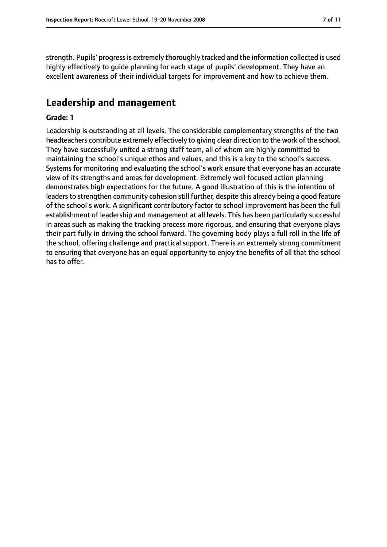strength. Pupils' progress is extremely thoroughly tracked and the information collected is used highly effectively to guide planning for each stage of pupils' development. They have an excellent awareness of their individual targets for improvement and how to achieve them.

### **Leadership and management**

#### **Grade: 1**

Leadership is outstanding at all levels. The considerable complementary strengths of the two headteachers contribute extremely effectively to giving clear direction to the work of the school. They have successfully united a strong staff team, all of whom are highly committed to maintaining the school's unique ethos and values, and this is a key to the school's success. Systems for monitoring and evaluating the school's work ensure that everyone has an accurate view of its strengths and areas for development. Extremely well focused action planning demonstrates high expectations for the future. A good illustration of this is the intention of leaders to strengthen community cohesion still further, despite this already being a good feature of the school's work. A significant contributory factor to school improvement has been the full establishment of leadership and management at all levels. This has been particularly successful in areas such as making the tracking process more rigorous, and ensuring that everyone plays their part fully in driving the school forward. The governing body plays a full roll in the life of the school, offering challenge and practical support. There is an extremely strong commitment to ensuring that everyone has an equal opportunity to enjoy the benefits of all that the school has to offer.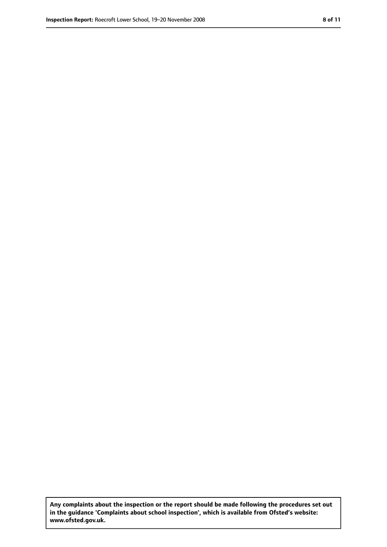**Any complaints about the inspection or the report should be made following the procedures set out in the guidance 'Complaints about school inspection', which is available from Ofsted's website: www.ofsted.gov.uk.**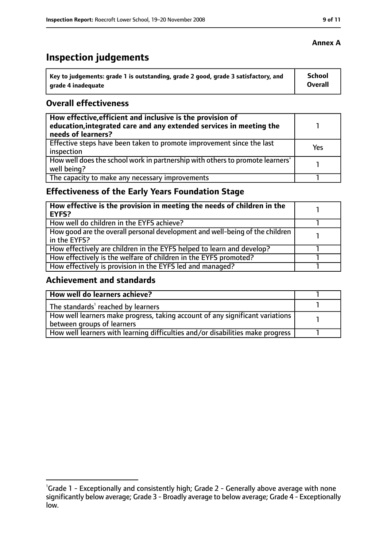# **Inspection judgements**

| Key to judgements: grade 1 is outstanding, grade 2 good, grade 3 satisfactory, and | <b>School</b>  |
|------------------------------------------------------------------------------------|----------------|
| arade 4 inadequate                                                                 | <b>Overall</b> |

## **Overall effectiveness**

| How effective, efficient and inclusive is the provision of<br>education, integrated care and any extended services in meeting the<br>needs of learners? |     |
|---------------------------------------------------------------------------------------------------------------------------------------------------------|-----|
| Effective steps have been taken to promote improvement since the last<br>inspection                                                                     | Yes |
| How well does the school work in partnership with others to promote learners'<br>well being?                                                            |     |
| The capacity to make any necessary improvements                                                                                                         |     |

# **Effectiveness of the Early Years Foundation Stage**

| How effective is the provision in meeting the needs of children in the<br><b>EYFS?</b>       |  |
|----------------------------------------------------------------------------------------------|--|
| How well do children in the EYFS achieve?                                                    |  |
| How good are the overall personal development and well-being of the children<br>in the EYFS? |  |
| How effectively are children in the EYFS helped to learn and develop?                        |  |
| How effectively is the welfare of children in the EYFS promoted?                             |  |
| How effectively is provision in the EYFS led and managed?                                    |  |

## **Achievement and standards**

| How well do learners achieve?                                                               |  |
|---------------------------------------------------------------------------------------------|--|
| $\vert$ The standards <sup>1</sup> reached by learners                                      |  |
| $\mid$ How well learners make progress, taking account of any significant variations $\mid$ |  |
| between groups of learners                                                                  |  |
| How well learners with learning difficulties and/or disabilities make progress              |  |

<sup>&</sup>lt;sup>1</sup>Grade 1 - Exceptionally and consistently high; Grade 2 - Generally above average with none significantly below average; Grade 3 - Broadly average to below average; Grade 4 - Exceptionally low.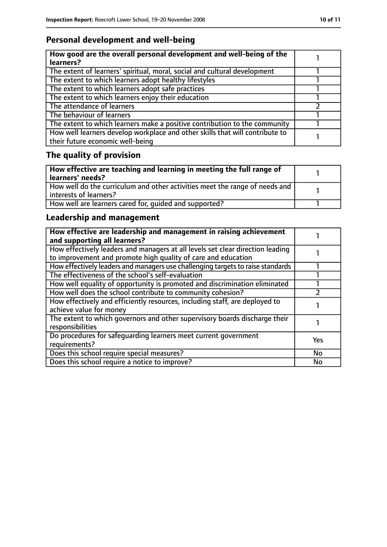# **Personal development and well-being**

| How good are the overall personal development and well-being of the<br>learners?                                 |  |
|------------------------------------------------------------------------------------------------------------------|--|
| The extent of learners' spiritual, moral, social and cultural development                                        |  |
| The extent to which learners adopt healthy lifestyles                                                            |  |
| The extent to which learners adopt safe practices                                                                |  |
| The extent to which learners enjoy their education                                                               |  |
| The attendance of learners                                                                                       |  |
| The behaviour of learners                                                                                        |  |
| The extent to which learners make a positive contribution to the community                                       |  |
| How well learners develop workplace and other skills that will contribute to<br>their future economic well-being |  |

# **The quality of provision**

| How effective are teaching and learning in meeting the full range of<br>learners' needs?              |  |
|-------------------------------------------------------------------------------------------------------|--|
| How well do the curriculum and other activities meet the range of needs and<br>interests of learners? |  |
| How well are learners cared for, quided and supported?                                                |  |

# **Leadership and management**

| How effective are leadership and management in raising achievement<br>and supporting all learners?                                              |     |
|-------------------------------------------------------------------------------------------------------------------------------------------------|-----|
| How effectively leaders and managers at all levels set clear direction leading<br>to improvement and promote high quality of care and education |     |
| How effectively leaders and managers use challenging targets to raise standards                                                                 |     |
| The effectiveness of the school's self-evaluation                                                                                               |     |
| How well equality of opportunity is promoted and discrimination eliminated                                                                      |     |
| How well does the school contribute to community cohesion?                                                                                      |     |
| How effectively and efficiently resources, including staff, are deployed to<br>achieve value for money                                          |     |
| The extent to which governors and other supervisory boards discharge their<br>responsibilities                                                  |     |
| Do procedures for safequarding learners meet current government<br>requirements?                                                                | Yes |
| Does this school require special measures?                                                                                                      | No  |
| Does this school require a notice to improve?                                                                                                   | No  |